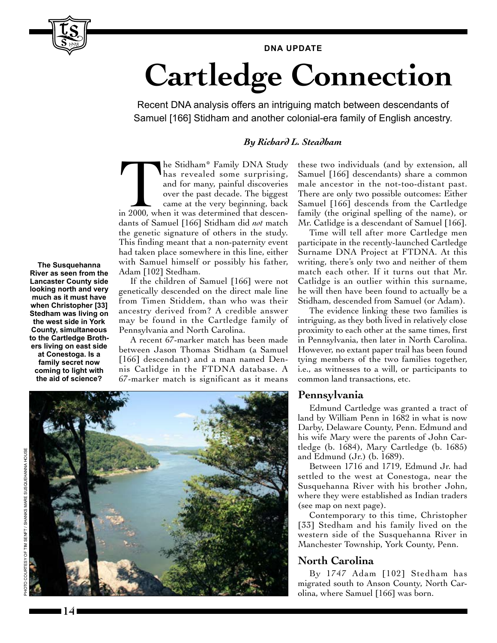#### **DNA UPDATE**

# **Cartledge Connection**

Recent DNA analysis offers an intriguing match between descendants of Samuel [166] Stidham and another colonial-era family of English ancestry.

### *By Richard L. Steadham*

The Stidham\* Family DNA Study<br>
has revealed some surprising,<br>
and for many, painful discoveries<br>
over the past decade. The biggest<br>
came at the very beginning, back<br>
in 2000, when it was determined that descenhas revealed some surprising, and for many, painful discoveries over the past decade. The biggest came at the very beginning, back dants of Samuel [166] Stidham did *not* match the genetic signature of others in the study. This finding meant that a non-paternity event had taken place somewhere in this line, either with Samuel himself or possibly his father, Adam [102] Stedham.

If the children of Samuel [166] were not genetically descended on the direct male line from Timen Stiddem, than who was their ancestry derived from? A credible answer may be found in the Cartledge family of Pennsylvania and North Carolina.

A recent 67-marker match has been made between Jason Thomas Stidham (a Samuel [166] descendant) and a man named Dennis Catlidge in the FTDNA database. A 67-marker match is significant as it means

these two individuals (and by extension, all Samuel [166] descendants) share a common male ancestor in the not-too-distant past. There are only two possible outcomes: Either Samuel [166] descends from the Cartledge family (the original spelling of the name), or Mr. Catlidge is a descendant of Samuel [166].

Time will tell after more Cartledge men participate in the recently-launched Cartledge Surname DNA Project at FTDNA. At this writing, there's only two and neither of them match each other. If it turns out that Mr. Catlidge is an outlier within this surname, he will then have been found to actually be a Stidham, descended from Samuel (or Adam).

The evidence linking these two families is intriguing, as they both lived in relatively close proximity to each other at the same times, first in Pennsylvania, then later in North Carolina. However, no extant paper trail has been found tying members of the two families together, i.e., as witnesses to a will, or participants to common land transactions, etc.

#### **Pennsylvania**

Edmund Cartledge was granted a tract of land by William Penn in 1682 in what is now Darby, Delaware County, Penn. Edmund and his wife Mary were the parents of John Cartledge (b. 1684), Mary Cartledge (b. 1685) and Edmund (Jr.) (b. 1689).

Between 1716 and 1719, Edmund Jr. had settled to the west at Conestoga, near the Susquehanna River with his brother John, where they were established as Indian traders (see map on next page).

Contemporary to this time, Christopher [33] Stedham and his family lived on the western side of the Susquehanna River in Manchester Township, York County, Penn.

## **North Carolina**

By 1747 Adam [102] Stedham has migrated south to Anson County, North Carolina, where Samuel [166] was born.

**The Susquehanna River as seen from the Lancaster County side looking north and very much as it must have when Christopher [33] Stedham was living on the west side in York County, simultaneous to the Cartledge Brothers living on east side at Conestoga. Is a family secret now coming to light with the aid of science?**

1998